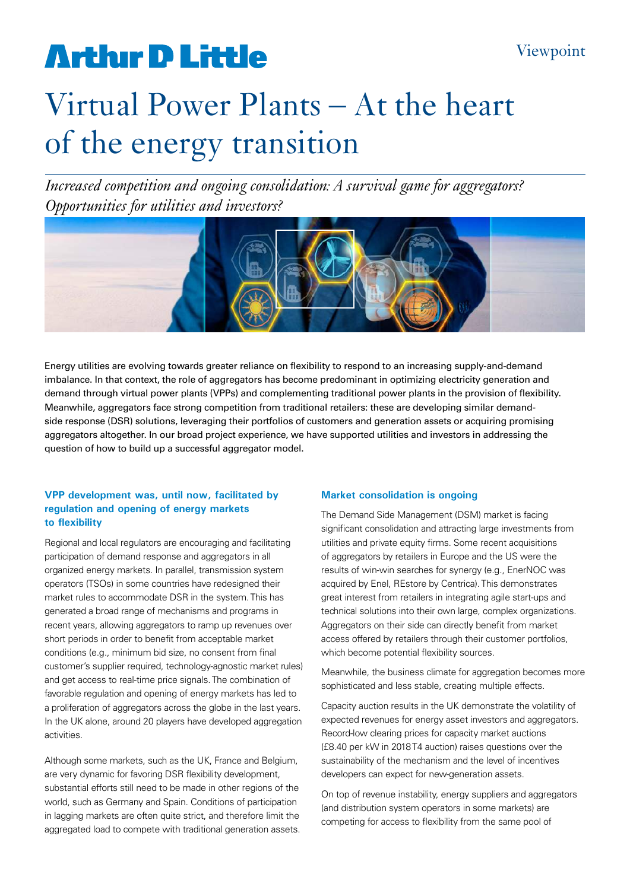# **Arthur D Little**

# Virtual Power Plants – At the heart of the energy transition

*Increased competition and ongoing consolidation: A survival game for aggregators? Opportunities for utilities and investors?*



Energy utilities are evolving towards greater reliance on flexibility to respond to an increasing supply-and-demand imbalance. In that context, the role of aggregators has become predominant in optimizing electricity generation and demand through virtual power plants (VPPs) and complementing traditional power plants in the provision of flexibility. Meanwhile, aggregators face strong competition from traditional retailers: these are developing similar demandside response (DSR) solutions, leveraging their portfolios of customers and generation assets or acquiring promising aggregators altogether. In our broad project experience, we have supported utilities and investors in addressing the question of how to build up a successful aggregator model.

#### **VPP development was, until now, facilitated by regulation and opening of energy markets to flexibility**

Regional and local regulators are encouraging and facilitating participation of demand response and aggregators in all organized energy markets. In parallel, transmission system operators (TSOs) in some countries have redesigned their market rules to accommodate DSR in the system. This has generated a broad range of mechanisms and programs in recent years, allowing aggregators to ramp up revenues over short periods in order to benefit from acceptable market conditions (e.g., minimum bid size, no consent from final customer's supplier required, technology-agnostic market rules) and get access to real-time price signals. The combination of favorable regulation and opening of energy markets has led to a proliferation of aggregators across the globe in the last years. In the UK alone, around 20 players have developed aggregation activities.

Although some markets, such as the UK, France and Belgium, are very dynamic for favoring DSR flexibility development, substantial efforts still need to be made in other regions of the world, such as Germany and Spain. Conditions of participation in lagging markets are often quite strict, and therefore limit the aggregated load to compete with traditional generation assets.

#### **Market consolidation is ongoing**

The Demand Side Management (DSM) market is facing significant consolidation and attracting large investments from utilities and private equity firms. Some recent acquisitions of aggregators by retailers in Europe and the US were the results of win-win searches for synergy (e.g., EnerNOC was acquired by Enel, REstore by Centrica). This demonstrates great interest from retailers in integrating agile start-ups and technical solutions into their own large, complex organizations. Aggregators on their side can directly benefit from market access offered by retailers through their customer portfolios, which become potential flexibility sources.

Meanwhile, the business climate for aggregation becomes more sophisticated and less stable, creating multiple effects.

Capacity auction results in the UK demonstrate the volatility of expected revenues for energy asset investors and aggregators. Record-low clearing prices for capacity market auctions (£8.40 per kW in 2018 T4 auction) raises questions over the sustainability of the mechanism and the level of incentives developers can expect for new-generation assets.

On top of revenue instability, energy suppliers and aggregators (and distribution system operators in some markets) are competing for access to flexibility from the same pool of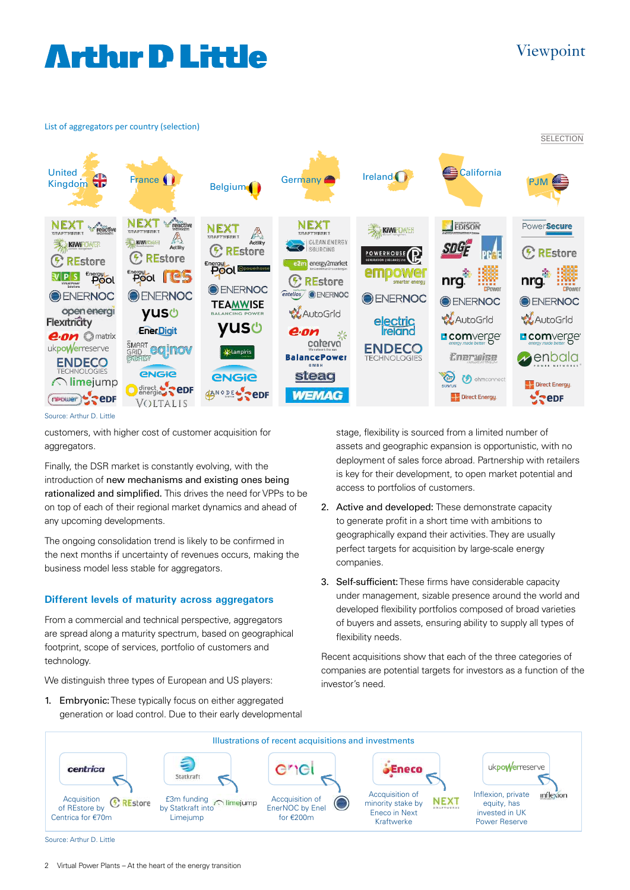# **Arthur D Little**

### Viewpoint





Source: Arthur D. Little

customers, with higher cost of customer acquisition for aggregators.

Finally, the DSR market is constantly evolving, with the introduction of new mechanisms and existing ones being rationalized and simplified. This drives the need for VPPs to be on top of each of their regional market dynamics and ahead of any upcoming developments.

The ongoing consolidation trend is likely to be confirmed in the next months if uncertainty of revenues occurs, making the business model less stable for aggregators.

#### **Different levels of maturity across aggregators**

From a commercial and technical perspective, aggregators are spread along a maturity spectrum, based on geographical footprint, scope of services, portfolio of customers and technology.

We distinguish three types of European and US players:

1. Embryonic: These typically focus on either aggregated and the control. These typically local off cities, agglegated accuration or load control. Due to their early developmental stage, flexibility is sourced from a limited number of assets and geographic expansion is opportunistic, with no deployment of sales force abroad. Partnership with retailers is key for their development, to open market potential and access to portfolios of customers.

- 2. Active and developed: These demonstrate capacity to generate profit in a short time with ambitions to geographically expand their activities. They are usually perfect targets for acquisition by large-scale energy companies.
- 3. Self-sufficient: These firms have considerable capacity under management, sizable presence around the world and developed flexibility portfolios composed of broad varieties of buyers and assets, ensuring ability to supply all types of flexibility needs.

Recent acquisitions show that each of the three categories of companies are potential targets for investors as a function of the investor's need.

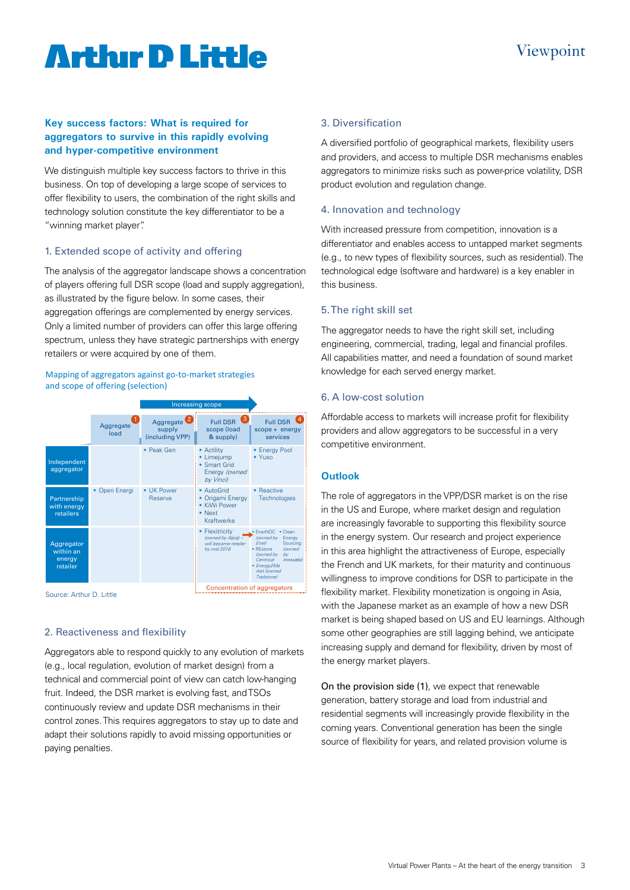# **Arthur D Little**

#### **Key success factors: What is required for aggregators to survive in this rapidly evolving and hyper-competitive environment**

We distinguish multiple key success factors to thrive in this business. On top of developing a large scope of services to offer flexibility to users, the combination of the right skills and technology solution constitute the key differentiator to be a "winning market player".

### 1. Extended scope of activity and offering

The analysis of the aggregator landscape shows a concentration of players offering full DSR scope (load and supply aggregation), as illustrated by the figure below. In some cases, their aggregation offerings are complemented by energy services. Only a limited number of providers can offer this large offering spectrum, unless they have strategic partnerships with energy retailers or were acquired by one of them.

#### Mapping of aggregators against go-to-market strategies and scope of offering (selection)



Source: Arthur D. Little

#### 2. Reactiveness and flexibility

Aggregators able to respond quickly to any evolution of markets (e.g., local regulation, evolution of market design) from a technical and commercial point of view can catch low-hanging fruit. Indeed, the DSR market is evolving fast, and TSOs continuously review and update DSR mechanisms in their control zones. This requires aggregators to stay up to date and adapt their solutions rapidly to avoid missing opportunities or paying penalties.

### 3. Diversification

A diversified portfolio of geographical markets, flexibility users and providers, and access to multiple DSR mechanisms enables aggregators to minimize risks such as power-price volatility, DSR product evolution and regulation change.

#### 4. Innovation and technology

With increased pressure from competition, innovation is a differentiator and enables access to untapped market segments (e.g., to new types of flexibility sources, such as residential). The technological edge (software and hardware) is a key enabler in this business.

#### 5. The right skill set

The aggregator needs to have the right skill set, including engineering, commercial, trading, legal and financial profiles. All capabilities matter, and need a foundation of sound market knowledge for each served energy market.

### 6. A low-cost solution

Affordable access to markets will increase profit for flexibility providers and allow aggregators to be successful in a very competitive environment.

### **Outlook**

The role of aggregators in the VPP/DSR market is on the rise in the US and Europe, where market design and regulation are increasingly favorable to supporting this flexibility source in the energy system. Our research and project experience in this area highlight the attractiveness of Europe, especially the French and UK markets, for their maturity and continuous willingness to improve conditions for DSR to participate in the flexibility market. Flexibility monetization is ongoing in Asia, with the Japanese market as an example of how a new DSR market is being shaped based on US and EU learnings. Although some other geographies are still lagging behind, we anticipate increasing supply and demand for flexibility, driven by most of the energy market players.

On the provision side (1), we expect that renewable generation, battery storage and load from industrial and residential segments will increasingly provide flexibility in the coming years. Conventional generation has been the single source of flexibility for years, and related provision volume is